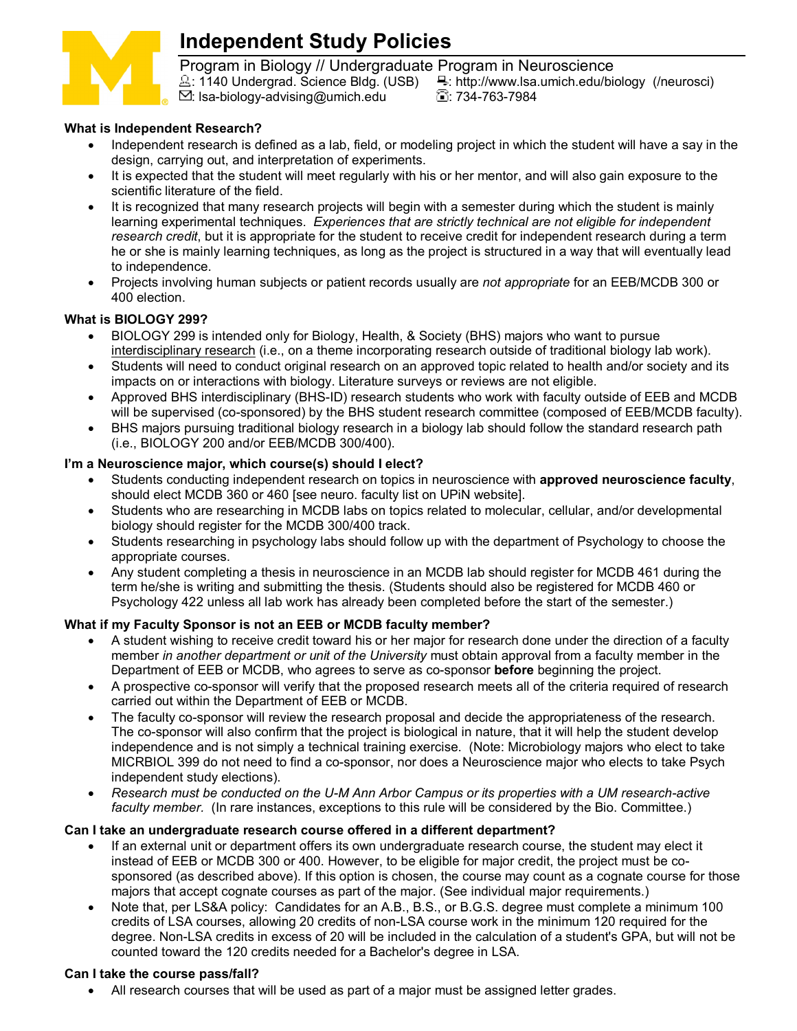

# **Independent Study Policies**

Program in Biology // Undergraduate Program in Neuroscience<br><u>2</u>: 1140 Undergrad. Science Bldg. (USB) = 1. http://www.lsa.umich.edu/bio E: http://www.lsa.umich.edu/biology (/neurosci) : lsa-biology-advising@umich.edu : 734-763-7984

# **What is Independent Research?**

- Independent research is defined as a lab, field, or modeling project in which the student will have a say in the design, carrying out, and interpretation of experiments.
- It is expected that the student will meet regularly with his or her mentor, and will also gain exposure to the scientific literature of the field.
- It is recognized that many research projects will begin with a semester during which the student is mainly learning experimental techniques. *Experiences that are strictly technical are not eligible for independent research credit*, but it is appropriate for the student to receive credit for independent research during a term he or she is mainly learning techniques, as long as the project is structured in a way that will eventually lead to independence.
- Projects involving human subjects or patient records usually are *not appropriate* for an EEB/MCDB 300 or 400 election.

# **What is BIOLOGY 299?**

- BIOLOGY 299 is intended only for Biology, Health, & Society (BHS) majors who want to pursue interdisciplinary research (i.e., on a theme incorporating research outside of traditional biology lab work).
- Students will need to conduct original research on an approved topic related to health and/or society and its impacts on or interactions with biology. Literature surveys or reviews are not eligible.
- Approved BHS interdisciplinary (BHS-ID) research students who work with faculty outside of EEB and MCDB will be supervised (co-sponsored) by the BHS student research committee (composed of EEB/MCDB faculty).
- BHS majors pursuing traditional biology research in a biology lab should follow the standard research path (i.e., BIOLOGY 200 and/or EEB/MCDB 300/400).

# **I'm a Neuroscience major, which course(s) should I elect?**

- Students conducting independent research on topics in neuroscience with **approved neuroscience faculty**, should elect MCDB 360 or 460 [see neuro. faculty list on UPiN website].
- Students who are researching in MCDB labs on topics related to molecular, cellular, and/or developmental biology should register for the MCDB 300/400 track.
- Students researching in psychology labs should follow up with the department of Psychology to choose the appropriate courses.
- Any student completing a thesis in neuroscience in an MCDB lab should register for MCDB 461 during the term he/she is writing and submitting the thesis. (Students should also be registered for MCDB 460 or Psychology 422 unless all lab work has already been completed before the start of the semester.)

# **What if my Faculty Sponsor is not an EEB or MCDB faculty member?**

- A student wishing to receive credit toward his or her major for research done under the direction of a faculty member *in another department or unit of the University* must obtain approval from a faculty member in the Department of EEB or MCDB, who agrees to serve as co-sponsor **before** beginning the project.
- A prospective co-sponsor will verify that the proposed research meets all of the criteria required of research carried out within the Department of EEB or MCDB.
- The faculty co-sponsor will review the research proposal and decide the appropriateness of the research. The co-sponsor will also confirm that the project is biological in nature, that it will help the student develop independence and is not simply a technical training exercise. (Note: Microbiology majors who elect to take MICRBIOL 399 do not need to find a co-sponsor, nor does a Neuroscience major who elects to take Psych independent study elections).
- *Research must be conducted on the U-M Ann Arbor Campus or its properties with a UM research-active faculty member.* (In rare instances, exceptions to this rule will be considered by the Bio. Committee.)

# **Can I take an undergraduate research course offered in a different department?**

- If an external unit or department offers its own undergraduate research course, the student may elect it instead of EEB or MCDB 300 or 400. However, to be eligible for major credit, the project must be cosponsored (as described above). If this option is chosen, the course may count as a cognate course for those majors that accept cognate courses as part of the major. (See individual major requirements.)
- Note that, per LS&A policy: Candidates for an A.B., B.S., or B.G.S. degree must complete a minimum 100 credits of LSA courses, allowing 20 credits of non-LSA course work in the minimum 120 required for the degree. Non-LSA credits in excess of 20 will be included in the calculation of a student's GPA, but will not be counted toward the 120 credits needed for a Bachelor's degree in LSA.

# **Can I take the course pass/fall?**

• All research courses that will be used as part of a major must be assigned letter grades.